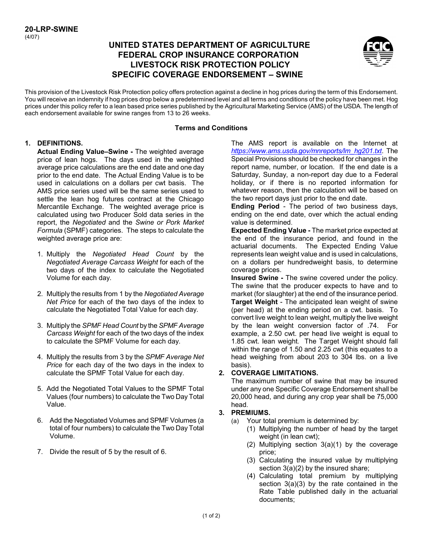# **UNITED STATES DEPARTMENT OF AGRICULTURE FEDERAL CROP INSURANCE CORPORATION LIVESTOCK RISK PROTECTION POLICY SPECIFIC COVERAGE ENDORSEMENT – SWINE**



This provision of the Livestock Risk Protection policy offers protection against a decline in hog prices during the term of this Endorsement. You will receive an indemnity if hog prices drop below a predetermined level and all terms and conditions of the policy have been met. Hog prices under this policy refer to a lean based price series published by the Agricultural Marketing Service (AMS) of the USDA. The length of each endorsement available for swine ranges from 13 to 26 weeks.

#### **Terms and Conditions**

#### **1. DEFINITIONS.**

**Actual Ending Value–Swine -** The weighted average price of lean hogs. The days used in the weighted average price calculations are the end date and one day prior to the end date. The Actual Ending Value is to be used in calculations on a dollars per cwt basis. The AMS price series used will be the same series used to settle the lean hog futures contract at the Chicago Mercantile Exchange. The weighted average price is calculated using two Producer Sold data series in the report, the *Negotiated* and the *Swine or Pork Market Formula* (SPMF) categories. The steps to calculate the weighted average price are:

- 1. Multiply the *Negotiated Head Count* by the *Negotiated Average Carcass Weight* for each of the two days of the index to calculate the Negotiated Volume for each day.
- 2. Multiply the results from 1 by the *Negotiated Average Net Price* for each of the two days of the index to calculate the Negotiated Total Value for each day.
- 3. Multiply the *SPMF Head Count* by the *SPMF Average Carcass Weight* for each of the two days of the index to calculate the SPMF Volume for each day.
- 4. Multiply the results from 3 by the *SPMF Average Net Price* for each day of the two days in the index to calculate the SPMF Total Value for each day.
- 5. Add the Negotiated Total Values to the SPMF Total Values (four numbers) to calculate the Two Day Total Value.
- 6. Add the Negotiated Volumes and SPMF Volumes (a total of four numbers) to calculate the Two Day Total Volume.
- 7. Divide the result of 5 by the result of 6.

The AMS report is available on the Internet at *[https://www.ams.usda.gov/mnreports/lm\\_hg201.txt](https://www.ams.usda.gov/mnreports/lm_hg201.txt)*. The Special Provisions should be checked for changes in the report name, number, or location. If the end date is a Saturday, Sunday, a non-report day due to a Federal holiday, or if there is no reported information for whatever reason, then the calculation will be based on the two report days just prior to the end date.

**Ending Period** - The period of two business days, ending on the end date, over which the actual ending value is determined.

**Expected Ending Value -** The market price expected at the end of the insurance period, and found in the actuarial documents. The Expected Ending Value represents lean weight value and is used in calculations, on a dollars per hundredweight basis, to determine coverage prices.

**Insured Swine -** The swine covered under the policy. The swine that the producer expects to have and to market (for slaughter) at the end of the insurance period. **Target Weight** - The anticipated lean weight of swine (per head) at the ending period on a cwt. basis. To convert live weight to lean weight, multiply the live weight by the lean weight conversion factor of .74. For example, a 2.50 cwt. per head live weight is equal to 1.85 cwt. lean weight. The Target Weight should fall within the range of 1.50 and 2.25 cwt (this equates to a head weighing from about 203 to 304 lbs. on a live basis).

### **2. COVERAGE LIMITATIONS.**

The maximum number of swine that may be insured under any one Specific Coverage Endorsement shall be 20,000 head, and during any crop year shall be 75,000 head.

### **3. PREMIUMS.**

- (a) Your total premium is determined by:
	- (1) Multiplying the number of head by the target weight (in lean cwt);
	- (2) Multiplying section 3(a)(1) by the coverage price;
	- (3) Calculating the insured value by multiplying section 3(a)(2) by the insured share;
	- (4) Calculating total premium by multiplying section 3(a)(3) by the rate contained in the Rate Table published daily in the actuarial documents;